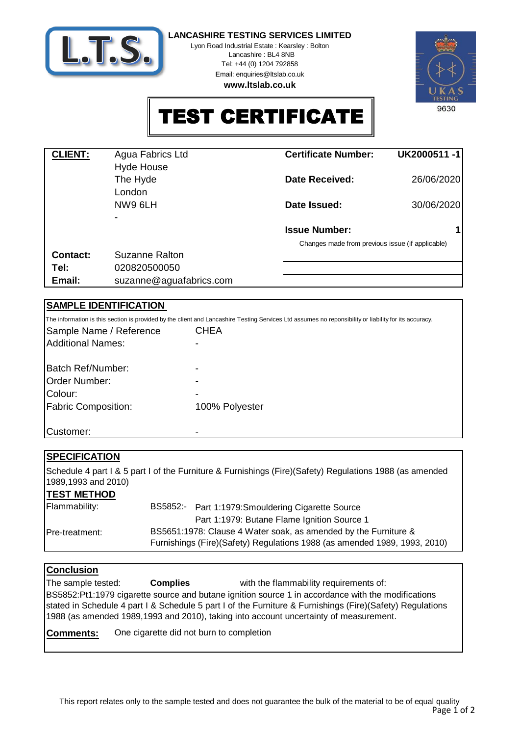

**LANCASHIRE TESTING SERVICES LIMITED**

Lyon Road Industrial Estate : Kearsley : Bolton Lancashire : BL4 8NB Tel: +44 (0) 1204 792858 Email: enquiries@ltslab.co.uk

**www.ltslab.co.uk**



# TEST CERTIFICATE

| <b>CLIENT:</b>  | Agua Fabrics Ltd        | <b>Certificate Number:</b>                       | UK2000511-1 |
|-----------------|-------------------------|--------------------------------------------------|-------------|
|                 | <b>Hyde House</b>       |                                                  |             |
|                 | The Hyde                | <b>Date Received:</b>                            | 26/06/2020  |
|                 | London                  |                                                  |             |
|                 | NW9 6LH                 | Date Issued:                                     | 30/06/2020  |
|                 |                         |                                                  |             |
|                 |                         | <b>Issue Number:</b>                             |             |
|                 |                         | Changes made from previous issue (if applicable) |             |
| <b>Contact:</b> | Suzanne Ralton          |                                                  |             |
| Tel:            | 020820500050            |                                                  |             |
| Email:          | suzanne@aguafabrics.com |                                                  |             |

# **SAMPLE IDENTIFICATION**

|                            | The information is this section is provided by the client and Lancashire Testing Services Ltd assumes no reponsibility or liability for its accuracy. |
|----------------------------|-------------------------------------------------------------------------------------------------------------------------------------------------------|
| Sample Name / Reference    | <b>CHEA</b>                                                                                                                                           |
| Additional Names:          |                                                                                                                                                       |
| Batch Ref/Number:          |                                                                                                                                                       |
| <b>Order Number:</b>       |                                                                                                                                                       |
| Colour:                    |                                                                                                                                                       |
| <b>Fabric Composition:</b> | 100% Polyester                                                                                                                                        |
| Customer:                  |                                                                                                                                                       |

# **SPECIFICATION**

Schedule 4 part I & 5 part I of the Furniture & Furnishings (Fire)(Safety) Regulations 1988 (as amended 1989,1993 and 2010)

### **TEST METHOD**

| Flammability:          | BS5852:-<br>Part 1:1979: Smouldering Cigarette Source                                                                                        |
|------------------------|----------------------------------------------------------------------------------------------------------------------------------------------|
|                        | Part 1:1979: Butane Flame Ignition Source 1                                                                                                  |
| <b>IPre-treatment:</b> | BS5651:1978: Clause 4 Water soak, as amended by the Furniture &<br>Furnishings (Fire)(Safety) Regulations 1988 (as amended 1989, 1993, 2010) |

# **Conclusion**

with the flammability requirements of: The sample tested: **Complies** BS5852:Pt1:1979 cigarette source and butane ignition source 1 in accordance with the modifications stated in Schedule 4 part I & Schedule 5 part I of the Furniture & Furnishings (Fire)(Safety) Regulations 1988 (as amended 1989,1993 and 2010), taking into account uncertainty of measurement.

**Comments:** One cigarette did not burn to completion